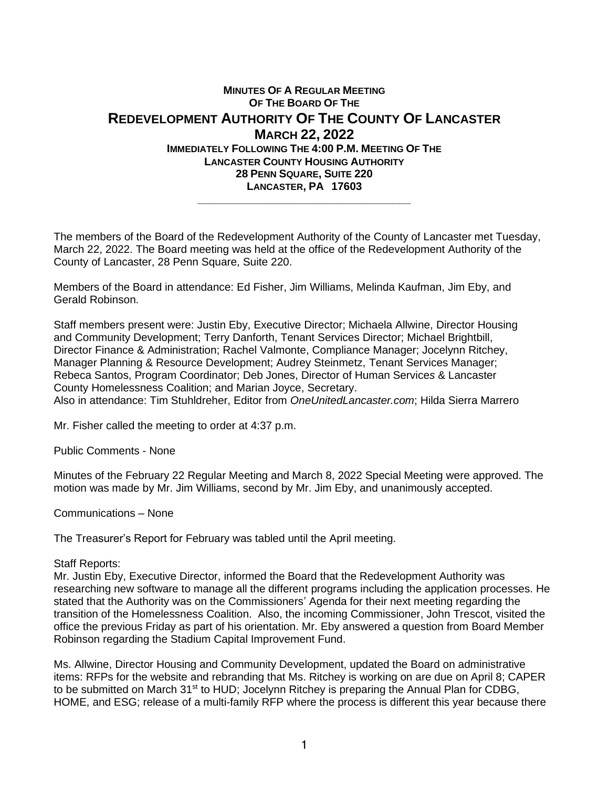## **MINUTES OF A REGULAR MEETING OF THE BOARD OF THE REDEVELOPMENT AUTHORITY OF THE COUNTY OF LANCASTER MARCH 22, 2022 IMMEDIATELY FOLLOWING THE 4:00 P.M. MEETING OF THE LANCASTER COUNTY HOUSING AUTHORITY 28 PENN SQUARE, SUITE 220 LANCASTER, PA 17603 \_\_\_\_\_\_\_\_\_\_\_\_\_\_\_\_\_\_\_\_\_\_\_\_\_\_\_\_\_\_\_\_\_\_\_**

The members of the Board of the Redevelopment Authority of the County of Lancaster met Tuesday, March 22, 2022. The Board meeting was held at the office of the Redevelopment Authority of the County of Lancaster, 28 Penn Square, Suite 220.

Members of the Board in attendance: Ed Fisher, Jim Williams, Melinda Kaufman, Jim Eby, and Gerald Robinson.

Staff members present were: Justin Eby, Executive Director; Michaela Allwine, Director Housing and Community Development; Terry Danforth, Tenant Services Director; Michael Brightbill, Director Finance & Administration; Rachel Valmonte, Compliance Manager; Jocelynn Ritchey, Manager Planning & Resource Development; Audrey Steinmetz, Tenant Services Manager; Rebeca Santos, Program Coordinator; Deb Jones, Director of Human Service*s* & Lancaster County Homelessness Coalition; and Marian Joyce, Secretary. Also in attendance: Tim Stuhldreher, Editor from *OneUnitedLancaster.com*; Hilda Sierra Marrero

Mr. Fisher called the meeting to order at 4:37 p.m.

Public Comments - None

Minutes of the February 22 Regular Meeting and March 8, 2022 Special Meeting were approved. The motion was made by Mr. Jim Williams, second by Mr. Jim Eby, and unanimously accepted.

Communications – None

The Treasurer's Report for February was tabled until the April meeting.

## Staff Reports:

Mr. Justin Eby, Executive Director, informed the Board that the Redevelopment Authority was researching new software to manage all the different programs including the application processes. He stated that the Authority was on the Commissioners' Agenda for their next meeting regarding the transition of the Homelessness Coalition. Also, the incoming Commissioner, John Trescot, visited the office the previous Friday as part of his orientation. Mr. Eby answered a question from Board Member Robinson regarding the Stadium Capital Improvement Fund.

Ms. Allwine, Director Housing and Community Development, updated the Board on administrative items: RFPs for the website and rebranding that Ms. Ritchey is working on are due on April 8; CAPER to be submitted on March 31<sup>st</sup> to HUD; Jocelynn Ritchey is preparing the Annual Plan for CDBG, HOME, and ESG; release of a multi-family RFP where the process is different this year because there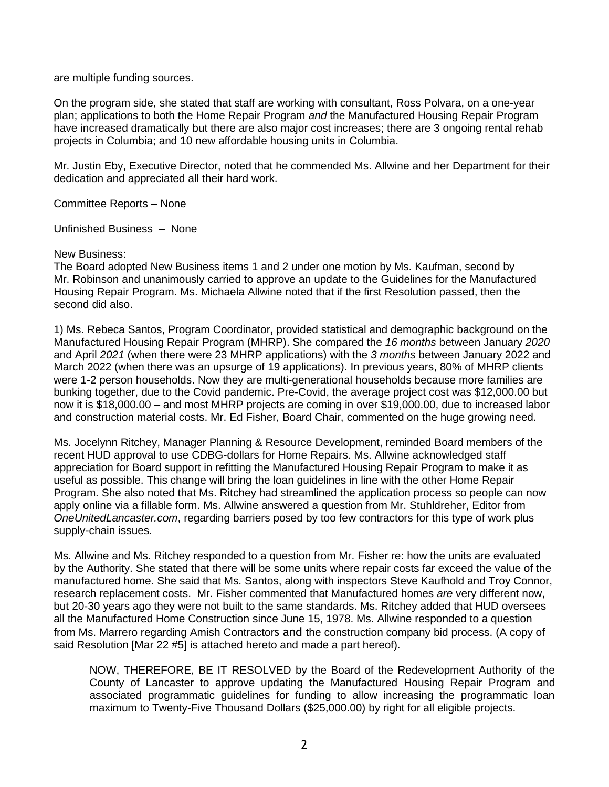are multiple funding sources.

On the program side, she stated that staff are working with consultant, Ross Polvara, on a one-year plan; applications to both the Home Repair Program *and* the Manufactured Housing Repair Program have increased dramatically but there are also major cost increases; there are 3 ongoing rental rehab projects in Columbia; and 10 new affordable housing units in Columbia.

Mr. Justin Eby, Executive Director, noted that he commended Ms. Allwine and her Department for their dedication and appreciated all their hard work.

Committee Reports – None

Unfinished Business **–** None

New Business:

The Board adopted New Business items 1 and 2 under one motion by Ms. Kaufman, second by Mr. Robinson and unanimously carried to approve an update to the Guidelines for the Manufactured Housing Repair Program. Ms. Michaela Allwine noted that if the first Resolution passed, then the second did also.

1) Ms. Rebeca Santos, Program Coordinator**,** provided statistical and demographic background on the Manufactured Housing Repair Program (MHRP). She compared the *16 months* between January *2020* and April *2021* (when there were 23 MHRP applications) with the *3 months* between January 2022 and March 2022 (when there was an upsurge of 19 applications). In previous years, 80% of MHRP clients were 1-2 person households. Now they are multi-generational households because more families are bunking together, due to the Covid pandemic. Pre-Covid, the average project cost was \$12,000.00 but now it is \$18,000.00 – and most MHRP projects are coming in over \$19,000.00, due to increased labor and construction material costs. Mr. Ed Fisher, Board Chair, commented on the huge growing need.

Ms. Jocelynn Ritchey, Manager Planning & Resource Development, reminded Board members of the recent HUD approval to use CDBG-dollars for Home Repairs. Ms. Allwine acknowledged staff appreciation for Board support in refitting the Manufactured Housing Repair Program to make it as useful as possible. This change will bring the loan guidelines in line with the other Home Repair Program. She also noted that Ms. Ritchey had streamlined the application process so people can now apply online via a fillable form. Ms. Allwine answered a question from Mr. Stuhldreher, Editor from *OneUnitedLancaster.com*, regarding barriers posed by too few contractors for this type of work plus supply-chain issues.

Ms. Allwine and Ms. Ritchey responded to a question from Mr. Fisher re: how the units are evaluated by the Authority. She stated that there will be some units where repair costs far exceed the value of the manufactured home. She said that Ms. Santos, along with inspectors Steve Kaufhold and Troy Connor, research replacement costs. Mr. Fisher commented that Manufactured homes *are* very different now, but 20-30 years ago they were not built to the same standards. Ms. Ritchey added that HUD oversees all the Manufactured Home Construction since June 15, 1978. Ms. Allwine responded to a question from Ms. Marrero regarding Amish Contractors and the construction company bid process. (A copy of said Resolution [Mar 22 #5] is attached hereto and made a part hereof).

NOW, THEREFORE, BE IT RESOLVED by the Board of the Redevelopment Authority of the County of Lancaster to approve updating the Manufactured Housing Repair Program and associated programmatic guidelines for funding to allow increasing the programmatic loan maximum to Twenty-Five Thousand Dollars (\$25,000.00) by right for all eligible projects.